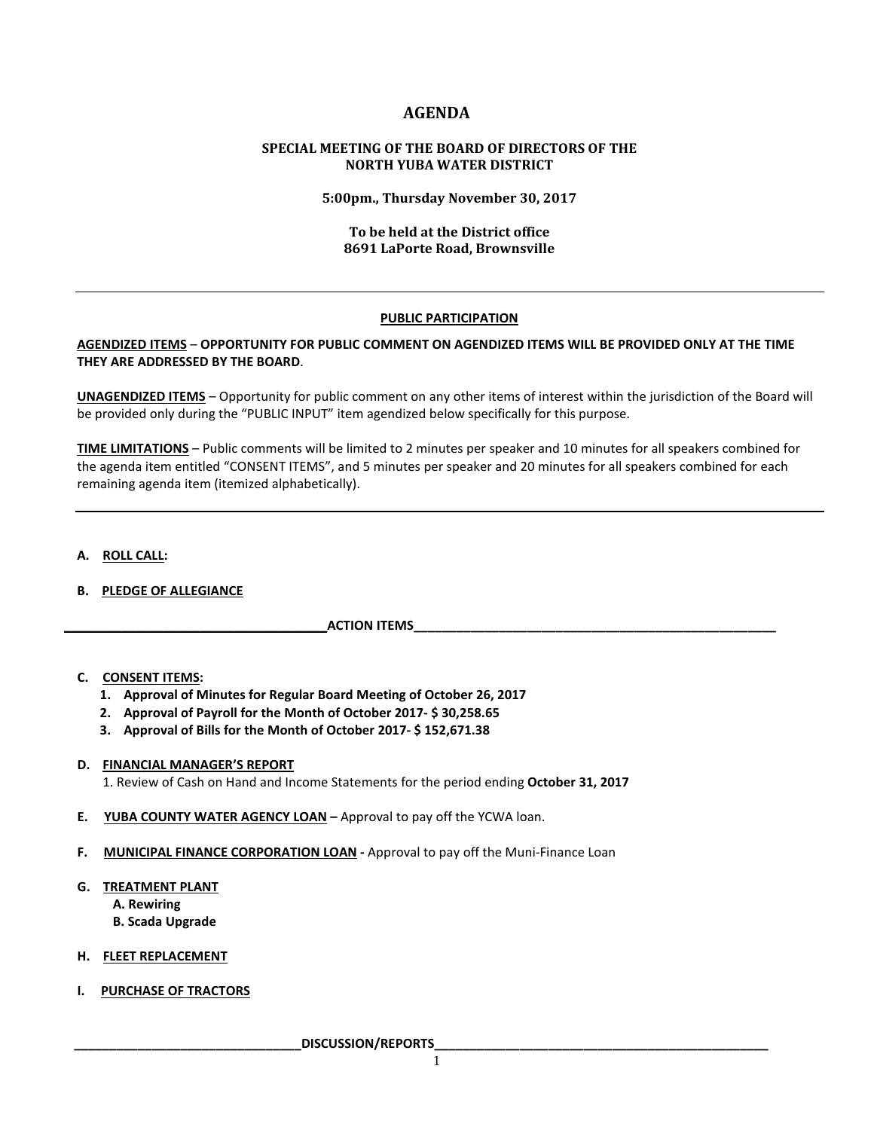# **AGENDA**

# **SPECIAL MEETING OF THE BOARD OF DIRECTORS OF THE NORTH YUBA WATER DISTRICT**

**5:00pm., Thursday November 30, 2017**

# **To be held at the District office 8691 LaPorte Road, Brownsville**

# **PUBLIC PARTICIPATION**

## **AGENDIZED ITEMS** – **OPPORTUNITY FOR PUBLIC COMMENT ON AGENDIZED ITEMS WILL BE PROVIDED ONLY AT THE TIME THEY ARE ADDRESSED BY THE BOARD**.

**UNAGENDIZED ITEMS** – Opportunity for public comment on any other items of interest within the jurisdiction of the Board will be provided only during the "PUBLIC INPUT" item agendized below specifically for this purpose.

**TIME LIMITATIONS** – Public comments will be limited to 2 minutes per speaker and 10 minutes for all speakers combined for the agenda item entitled "CONSENT ITEMS", and 5 minutes per speaker and 20 minutes for all speakers combined for each remaining agenda item (itemized alphabetically).

## **A. ROLL CALL:**

# **B. PLEDGE OF ALLEGIANCE**

**ACTION ITEMS** 

## **C. CONSENT ITEMS:**

- **1. Approval of Minutes for Regular Board Meeting of October 26, 2017**
- **2. Approval of Payroll for the Month of October 2017- \$ 30,258.65**
- **3. Approval of Bills for the Month of October 2017- \$ 152,671.38**

# **D. FINANCIAL MANAGER'S REPORT**

1. Review of Cash on Hand and Income Statements for the period ending **October 31, 2017**

- **E. YUBA COUNTY WATER AGENCY LOAN –** Approval to pay off the YCWA loan.
- **F. MUNICIPAL FINANCE CORPORATION LOAN -** Approval to pay off the Muni-Finance Loan

#### **G. TREATMENT PLANT**

- **A. Rewiring**
- **B. Scada Upgrade**
- **H. FLEET REPLACEMENT**
- **I. PURCHASE OF TRACTORS**

 **\_\_\_\_\_\_\_\_\_\_\_\_\_\_\_\_\_\_\_\_\_\_\_\_\_\_\_\_\_\_\_\_DISCUSSION/REPORTS\_\_\_\_\_\_\_\_\_\_\_\_\_\_\_\_\_\_\_\_\_\_\_\_\_\_\_\_\_\_\_\_\_\_\_\_\_\_\_\_\_\_\_\_\_\_\_**